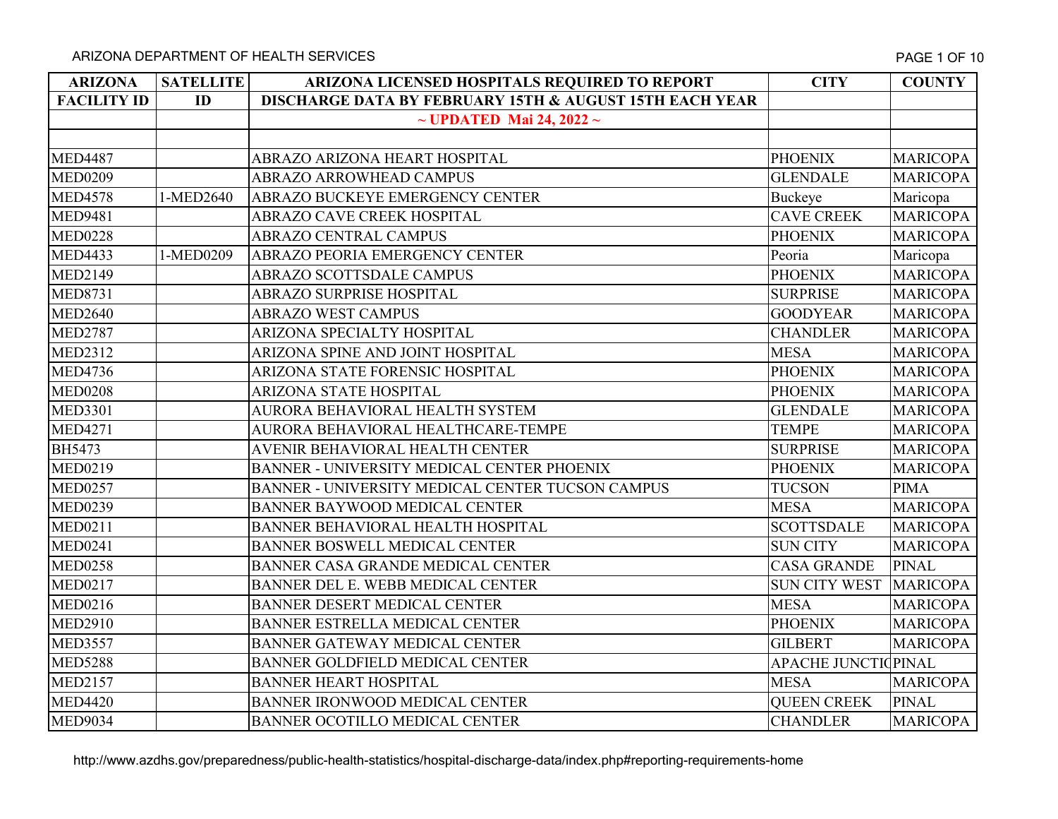| <b>ARIZONA</b>     | <b>SATELLITE</b> | ARIZONA LICENSED HOSPITALS REQUIRED TO REPORT                      | <b>CITY</b>                 | <b>COUNTY</b>   |
|--------------------|------------------|--------------------------------------------------------------------|-----------------------------|-----------------|
| <b>FACILITY ID</b> | ID               | <b>DISCHARGE DATA BY FEBRUARY 15TH &amp; AUGUST 15TH EACH YEAR</b> |                             |                 |
|                    |                  | $\sim$ UPDATED Mai 24, 2022 $\sim$                                 |                             |                 |
|                    |                  |                                                                    |                             |                 |
| <b>MED4487</b>     |                  | ABRAZO ARIZONA HEART HOSPITAL                                      | <b>PHOENIX</b>              | <b>MARICOPA</b> |
| <b>MED0209</b>     |                  | ABRAZO ARROWHEAD CAMPUS                                            | <b>GLENDALE</b>             | <b>MARICOPA</b> |
| <b>MED4578</b>     | 1-MED2640        | ABRAZO BUCKEYE EMERGENCY CENTER                                    | Buckeye                     | Maricopa        |
| <b>MED9481</b>     |                  | ABRAZO CAVE CREEK HOSPITAL                                         | <b>CAVE CREEK</b>           | <b>MARICOPA</b> |
| <b>MED0228</b>     |                  | ABRAZO CENTRAL CAMPUS                                              | <b>PHOENIX</b>              | <b>MARICOPA</b> |
| <b>MED4433</b>     | 1-MED0209        | ABRAZO PEORIA EMERGENCY CENTER                                     | Peoria                      | Maricopa        |
| <b>MED2149</b>     |                  | <b>ABRAZO SCOTTSDALE CAMPUS</b>                                    | <b>PHOENIX</b>              | <b>MARICOPA</b> |
| <b>MED8731</b>     |                  | <b>ABRAZO SURPRISE HOSPITAL</b>                                    | <b>SURPRISE</b>             | <b>MARICOPA</b> |
| <b>MED2640</b>     |                  | <b>ABRAZO WEST CAMPUS</b>                                          | <b>GOODYEAR</b>             | <b>MARICOPA</b> |
| <b>MED2787</b>     |                  | ARIZONA SPECIALTY HOSPITAL                                         | <b>CHANDLER</b>             | <b>MARICOPA</b> |
| <b>MED2312</b>     |                  | ARIZONA SPINE AND JOINT HOSPITAL                                   | <b>MESA</b>                 | <b>MARICOPA</b> |
| <b>MED4736</b>     |                  | ARIZONA STATE FORENSIC HOSPITAL                                    | <b>PHOENIX</b>              | <b>MARICOPA</b> |
| <b>MED0208</b>     |                  | ARIZONA STATE HOSPITAL                                             | <b>PHOENIX</b>              | <b>MARICOPA</b> |
| <b>MED3301</b>     |                  | AURORA BEHAVIORAL HEALTH SYSTEM                                    | <b>GLENDALE</b>             | <b>MARICOPA</b> |
| <b>MED4271</b>     |                  | AURORA BEHAVIORAL HEALTHCARE-TEMPE                                 | <b>TEMPE</b>                | <b>MARICOPA</b> |
| <b>BH5473</b>      |                  | AVENIR BEHAVIORAL HEALTH CENTER                                    | <b>SURPRISE</b>             | <b>MARICOPA</b> |
| <b>MED0219</b>     |                  | BANNER - UNIVERSITY MEDICAL CENTER PHOENIX                         | <b>PHOENIX</b>              | <b>MARICOPA</b> |
| <b>MED0257</b>     |                  | BANNER - UNIVERSITY MEDICAL CENTER TUCSON CAMPUS                   | <b>TUCSON</b>               | <b>PIMA</b>     |
| <b>MED0239</b>     |                  | BANNER BAYWOOD MEDICAL CENTER                                      | <b>MESA</b>                 | <b>MARICOPA</b> |
| <b>MED0211</b>     |                  | BANNER BEHAVIORAL HEALTH HOSPITAL                                  | <b>SCOTTSDALE</b>           | <b>MARICOPA</b> |
| <b>MED0241</b>     |                  | BANNER BOSWELL MEDICAL CENTER                                      | <b>SUN CITY</b>             | <b>MARICOPA</b> |
| <b>MED0258</b>     |                  | BANNER CASA GRANDE MEDICAL CENTER                                  | <b>CASA GRANDE</b>          | <b>PINAL</b>    |
| <b>MED0217</b>     |                  | BANNER DEL E. WEBB MEDICAL CENTER                                  | <b>SUN CITY WEST</b>        | <b>MARICOPA</b> |
| <b>MED0216</b>     |                  | BANNER DESERT MEDICAL CENTER                                       | <b>MESA</b>                 | <b>MARICOPA</b> |
| <b>MED2910</b>     |                  | BANNER ESTRELLA MEDICAL CENTER                                     | <b>PHOENIX</b>              | <b>MARICOPA</b> |
| <b>MED3557</b>     |                  | BANNER GATEWAY MEDICAL CENTER                                      | <b>GILBERT</b>              | <b>MARICOPA</b> |
| <b>MED5288</b>     |                  | BANNER GOLDFIELD MEDICAL CENTER                                    | <b>APACHE JUNCTIC PINAL</b> |                 |
| <b>MED2157</b>     |                  | <b>BANNER HEART HOSPITAL</b>                                       | <b>MESA</b>                 | <b>MARICOPA</b> |
| <b>MED4420</b>     |                  | BANNER IRONWOOD MEDICAL CENTER                                     | <b>QUEEN CREEK</b>          | PINAL           |
| <b>MED9034</b>     |                  | BANNER OCOTILLO MEDICAL CENTER                                     | <b>CHANDLER</b>             | <b>MARICOPA</b> |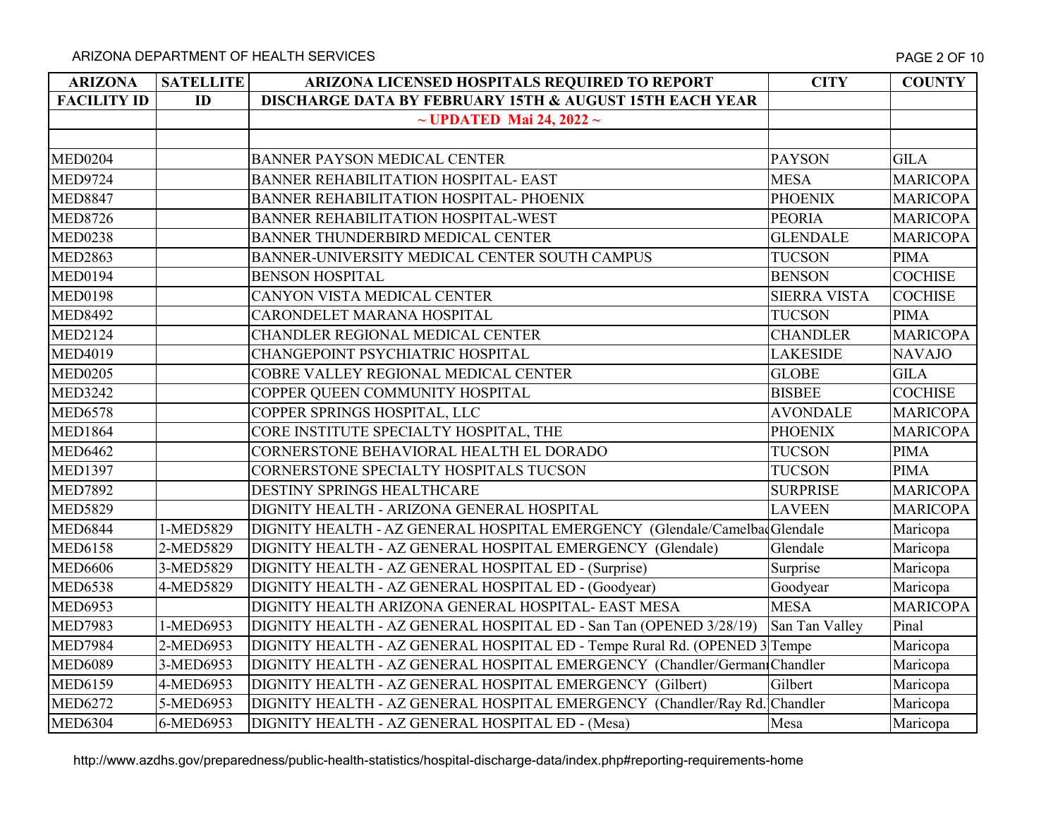| <b>ARIZONA</b>     | <b>SATELLITE</b> | ARIZONA LICENSED HOSPITALS REQUIRED TO REPORT                             | <b>CITY</b>         | <b>COUNTY</b>   |
|--------------------|------------------|---------------------------------------------------------------------------|---------------------|-----------------|
| <b>FACILITY ID</b> | ID               | <b>DISCHARGE DATA BY FEBRUARY 15TH &amp; AUGUST 15TH EACH YEAR</b>        |                     |                 |
|                    |                  | $\sim$ UPDATED Mai 24, 2022 $\sim$                                        |                     |                 |
|                    |                  |                                                                           |                     |                 |
| <b>MED0204</b>     |                  | <b>BANNER PAYSON MEDICAL CENTER</b>                                       | <b>PAYSON</b>       | <b>GILA</b>     |
| <b>MED9724</b>     |                  | BANNER REHABILITATION HOSPITAL- EAST                                      | <b>MESA</b>         | <b>MARICOPA</b> |
| <b>MED8847</b>     |                  | BANNER REHABILITATION HOSPITAL- PHOENIX                                   | <b>PHOENIX</b>      | <b>MARICOPA</b> |
| <b>MED8726</b>     |                  | BANNER REHABILITATION HOSPITAL-WEST                                       | <b>PEORIA</b>       | <b>MARICOPA</b> |
| <b>MED0238</b>     |                  | BANNER THUNDERBIRD MEDICAL CENTER                                         | <b>GLENDALE</b>     | <b>MARICOPA</b> |
| <b>MED2863</b>     |                  | BANNER-UNIVERSITY MEDICAL CENTER SOUTH CAMPUS                             | <b>TUCSON</b>       | <b>PIMA</b>     |
| <b>MED0194</b>     |                  | <b>BENSON HOSPITAL</b>                                                    | <b>BENSON</b>       | <b>COCHISE</b>  |
| <b>MED0198</b>     |                  | CANYON VISTA MEDICAL CENTER                                               | <b>SIERRA VISTA</b> | <b>COCHISE</b>  |
| <b>MED8492</b>     |                  | CARONDELET MARANA HOSPITAL                                                | <b>TUCSON</b>       | <b>PIMA</b>     |
| <b>MED2124</b>     |                  | CHANDLER REGIONAL MEDICAL CENTER                                          | <b>CHANDLER</b>     | <b>MARICOPA</b> |
| <b>MED4019</b>     |                  | CHANGEPOINT PSYCHIATRIC HOSPITAL                                          | <b>LAKESIDE</b>     | <b>NAVAJO</b>   |
| <b>MED0205</b>     |                  | COBRE VALLEY REGIONAL MEDICAL CENTER                                      | <b>GLOBE</b>        | <b>GILA</b>     |
| <b>MED3242</b>     |                  | COPPER QUEEN COMMUNITY HOSPITAL                                           | <b>BISBEE</b>       | <b>COCHISE</b>  |
| <b>MED6578</b>     |                  | COPPER SPRINGS HOSPITAL, LLC                                              | <b>AVONDALE</b>     | <b>MARICOPA</b> |
| <b>MED1864</b>     |                  | CORE INSTITUTE SPECIALTY HOSPITAL, THE                                    | <b>PHOENIX</b>      | <b>MARICOPA</b> |
| <b>MED6462</b>     |                  | CORNERSTONE BEHAVIORAL HEALTH EL DORADO                                   | <b>TUCSON</b>       | <b>PIMA</b>     |
| <b>MED1397</b>     |                  | CORNERSTONE SPECIALTY HOSPITALS TUCSON                                    | <b>TUCSON</b>       | <b>PIMA</b>     |
| <b>MED7892</b>     |                  | DESTINY SPRINGS HEALTHCARE                                                | <b>SURPRISE</b>     | <b>MARICOPA</b> |
| <b>MED5829</b>     |                  | DIGNITY HEALTH - ARIZONA GENERAL HOSPITAL                                 | <b>LAVEEN</b>       | <b>MARICOPA</b> |
| <b>MED6844</b>     | 1-MED5829        | DIGNITY HEALTH - AZ GENERAL HOSPITAL EMERGENCY (Glendale/CamelbadGlendale |                     | Maricopa        |
| <b>MED6158</b>     | 2-MED5829        | DIGNITY HEALTH - AZ GENERAL HOSPITAL EMERGENCY (Glendale)                 | Glendale            | Maricopa        |
| <b>MED6606</b>     | 3-MED5829        | DIGNITY HEALTH - AZ GENERAL HOSPITAL ED - (Surprise)                      | Surprise            | Maricopa        |
| <b>MED6538</b>     | 4-MED5829        | DIGNITY HEALTH - AZ GENERAL HOSPITAL ED - (Goodyear)                      | Goodyear            | Maricopa        |
| <b>MED6953</b>     |                  | DIGNITY HEALTH ARIZONA GENERAL HOSPITAL- EAST MESA                        | <b>MESA</b>         | <b>MARICOPA</b> |
| <b>MED7983</b>     | 1-MED6953        | DIGNITY HEALTH - AZ GENERAL HOSPITAL ED - San Tan (OPENED 3/28/19)        | San Tan Valley      | Pinal           |
| <b>MED7984</b>     | 2-MED6953        | DIGNITY HEALTH - AZ GENERAL HOSPITAL ED - Tempe Rural Rd. (OPENED 3 Tempe |                     | Maricopa        |
| <b>MED6089</b>     | 3-MED6953        | DIGNITY HEALTH - AZ GENERAL HOSPITAL EMERGENCY (Chandler/German Chandler  |                     | Maricopa        |
| <b>MED6159</b>     | 4-MED6953        | DIGNITY HEALTH - AZ GENERAL HOSPITAL EMERGENCY (Gilbert)                  | Gilbert             | Maricopa        |
| <b>MED6272</b>     | 5-MED6953        | DIGNITY HEALTH - AZ GENERAL HOSPITAL EMERGENCY (Chandler/Ray Rd. Chandler |                     | Maricopa        |
| <b>MED6304</b>     | 6-MED6953        | DIGNITY HEALTH - AZ GENERAL HOSPITAL ED - (Mesa)                          | Mesa                | Maricopa        |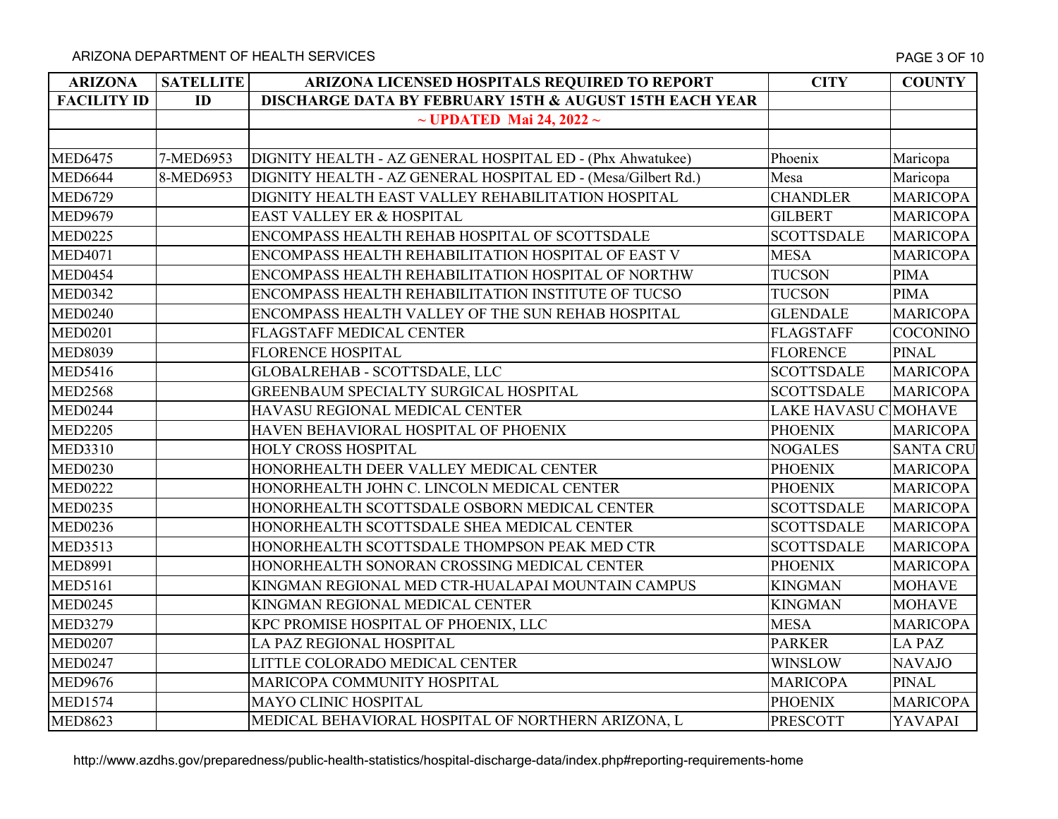ARIZONA DEPARTMENT OF HEALTH SERVICES AND THE SERVICES AND THE SERVICE SUPPORTED THE SERVICE SOF 10

| <b>ARIZONA</b>     | <b>SATELLITE</b> | ARIZONA LICENSED HOSPITALS REQUIRED TO REPORT                      | <b>CITY</b>          | <b>COUNTY</b>    |
|--------------------|------------------|--------------------------------------------------------------------|----------------------|------------------|
| <b>FACILITY ID</b> | ID               | <b>DISCHARGE DATA BY FEBRUARY 15TH &amp; AUGUST 15TH EACH YEAR</b> |                      |                  |
|                    |                  | $\sim$ UPDATED Mai 24, 2022 $\sim$                                 |                      |                  |
|                    |                  |                                                                    |                      |                  |
| <b>MED6475</b>     | 7-MED6953        | DIGNITY HEALTH - AZ GENERAL HOSPITAL ED - (Phx Ahwatukee)          | Phoenix              | Maricopa         |
| <b>MED6644</b>     | 8-MED6953        | DIGNITY HEALTH - AZ GENERAL HOSPITAL ED - (Mesa/Gilbert Rd.)       | Mesa                 | Maricopa         |
| <b>MED6729</b>     |                  | DIGNITY HEALTH EAST VALLEY REHABILITATION HOSPITAL                 | <b>CHANDLER</b>      | <b>MARICOPA</b>  |
| <b>MED9679</b>     |                  | EAST VALLEY ER & HOSPITAL                                          | <b>GILBERT</b>       | <b>MARICOPA</b>  |
| <b>MED0225</b>     |                  | ENCOMPASS HEALTH REHAB HOSPITAL OF SCOTTSDALE                      | <b>SCOTTSDALE</b>    | <b>MARICOPA</b>  |
| <b>MED4071</b>     |                  | ENCOMPASS HEALTH REHABILITATION HOSPITAL OF EAST V                 | <b>MESA</b>          | <b>MARICOPA</b>  |
| <b>MED0454</b>     |                  | ENCOMPASS HEALTH REHABILITATION HOSPITAL OF NORTHW                 | <b>TUCSON</b>        | <b>PIMA</b>      |
| <b>MED0342</b>     |                  | ENCOMPASS HEALTH REHABILITATION INSTITUTE OF TUCSO                 | <b>TUCSON</b>        | <b>PIMA</b>      |
| <b>MED0240</b>     |                  | ENCOMPASS HEALTH VALLEY OF THE SUN REHAB HOSPITAL                  | <b>GLENDALE</b>      | <b>MARICOPA</b>  |
| <b>MED0201</b>     |                  | <b>FLAGSTAFF MEDICAL CENTER</b>                                    | FLAGSTAFF            | <b>COCONINO</b>  |
| <b>MED8039</b>     |                  | <b>FLORENCE HOSPITAL</b>                                           | <b>FLORENCE</b>      | <b>PINAL</b>     |
| <b>MED5416</b>     |                  | GLOBALREHAB - SCOTTSDALE, LLC                                      | <b>SCOTTSDALE</b>    | <b>MARICOPA</b>  |
| <b>MED2568</b>     |                  | GREENBAUM SPECIALTY SURGICAL HOSPITAL                              | <b>SCOTTSDALE</b>    | <b>MARICOPA</b>  |
| <b>MED0244</b>     |                  | HAVASU REGIONAL MEDICAL CENTER                                     | LAKE HAVASU C MOHAVE |                  |
| <b>MED2205</b>     |                  | HAVEN BEHAVIORAL HOSPITAL OF PHOENIX                               | <b>PHOENIX</b>       | <b>MARICOPA</b>  |
| <b>MED3310</b>     |                  | <b>HOLY CROSS HOSPITAL</b>                                         | <b>NOGALES</b>       | <b>SANTA CRU</b> |
| <b>MED0230</b>     |                  | HONORHEALTH DEER VALLEY MEDICAL CENTER                             | <b>PHOENIX</b>       | <b>MARICOPA</b>  |
| <b>MED0222</b>     |                  | HONORHEALTH JOHN C. LINCOLN MEDICAL CENTER                         | <b>PHOENIX</b>       | <b>MARICOPA</b>  |
| <b>MED0235</b>     |                  | HONORHEALTH SCOTTSDALE OSBORN MEDICAL CENTER                       | <b>SCOTTSDALE</b>    | <b>MARICOPA</b>  |
| <b>MED0236</b>     |                  | HONORHEALTH SCOTTSDALE SHEA MEDICAL CENTER                         | <b>SCOTTSDALE</b>    | <b>MARICOPA</b>  |
| <b>MED3513</b>     |                  | HONORHEALTH SCOTTSDALE THOMPSON PEAK MED CTR                       | <b>SCOTTSDALE</b>    | <b>MARICOPA</b>  |
| <b>MED8991</b>     |                  | HONORHEALTH SONORAN CROSSING MEDICAL CENTER                        | <b>PHOENIX</b>       | <b>MARICOPA</b>  |
| <b>MED5161</b>     |                  | KINGMAN REGIONAL MED CTR-HUALAPAI MOUNTAIN CAMPUS                  | <b>KINGMAN</b>       | <b>MOHAVE</b>    |
| <b>MED0245</b>     |                  | KINGMAN REGIONAL MEDICAL CENTER                                    | <b>KINGMAN</b>       | <b>MOHAVE</b>    |
| <b>MED3279</b>     |                  | KPC PROMISE HOSPITAL OF PHOENIX, LLC                               | <b>MESA</b>          | <b>MARICOPA</b>  |
| <b>MED0207</b>     |                  | LA PAZ REGIONAL HOSPITAL                                           | <b>PARKER</b>        | <b>LA PAZ</b>    |
| <b>MED0247</b>     |                  | LITTLE COLORADO MEDICAL CENTER                                     | <b>WINSLOW</b>       | <b>NAVAJO</b>    |
| <b>MED9676</b>     |                  | MARICOPA COMMUNITY HOSPITAL                                        | <b>MARICOPA</b>      | <b>PINAL</b>     |
| <b>MED1574</b>     |                  | MAYO CLINIC HOSPITAL                                               | <b>PHOENIX</b>       | <b>MARICOPA</b>  |
| <b>MED8623</b>     |                  | MEDICAL BEHAVIORAL HOSPITAL OF NORTHERN ARIZONA, L                 | <b>PRESCOTT</b>      | YAVAPAI          |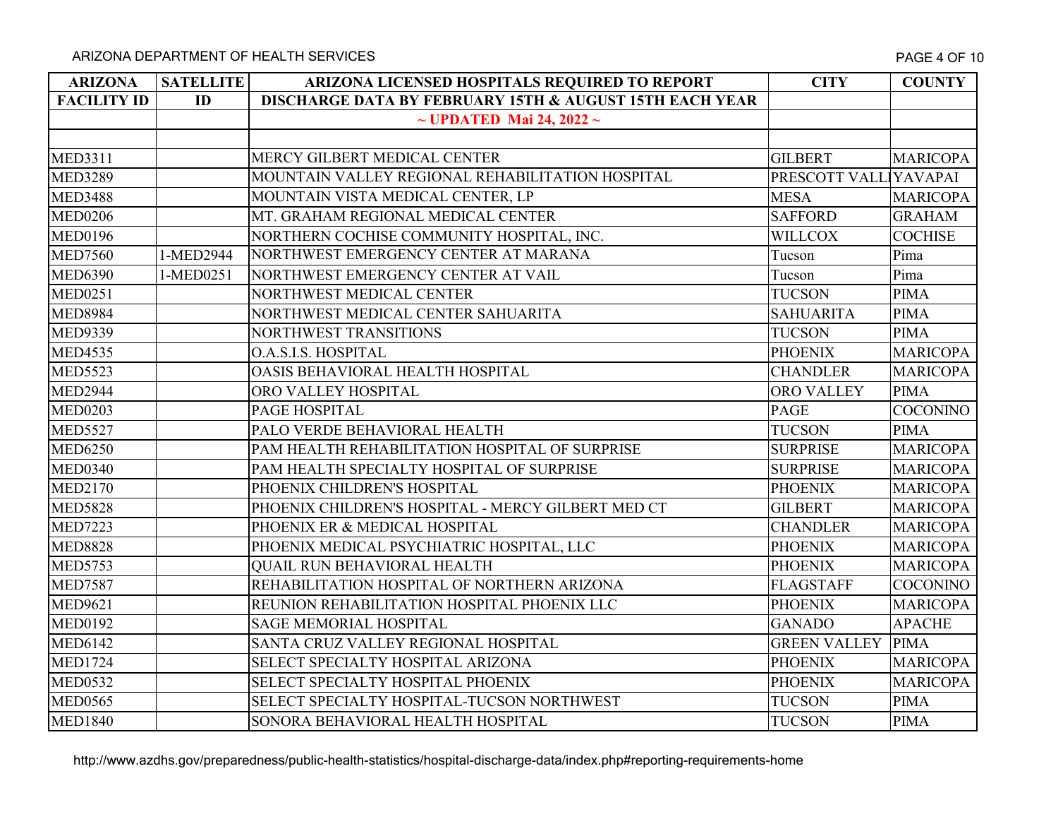| <b>ARIZONA</b>     | <b>SATELLITE</b> | ARIZONA LICENSED HOSPITALS REQUIRED TO REPORT                      | <b>CITY</b>           | <b>COUNTY</b>   |
|--------------------|------------------|--------------------------------------------------------------------|-----------------------|-----------------|
| <b>FACILITY ID</b> | ID               | <b>DISCHARGE DATA BY FEBRUARY 15TH &amp; AUGUST 15TH EACH YEAR</b> |                       |                 |
|                    |                  | $\sim$ UPDATED Mai 24, 2022 $\sim$                                 |                       |                 |
|                    |                  |                                                                    |                       |                 |
| <b>MED3311</b>     |                  | MERCY GILBERT MEDICAL CENTER                                       | <b>GILBERT</b>        | <b>MARICOPA</b> |
| <b>MED3289</b>     |                  | MOUNTAIN VALLEY REGIONAL REHABILITATION HOSPITAL                   | PRESCOTT VALL YAVAPAI |                 |
| <b>MED3488</b>     |                  | MOUNTAIN VISTA MEDICAL CENTER, LP                                  | <b>MESA</b>           | <b>MARICOPA</b> |
| <b>MED0206</b>     |                  | MT. GRAHAM REGIONAL MEDICAL CENTER                                 | <b>SAFFORD</b>        | <b>GRAHAM</b>   |
| <b>MED0196</b>     |                  | NORTHERN COCHISE COMMUNITY HOSPITAL, INC.                          | <b>WILLCOX</b>        | <b>COCHISE</b>  |
| <b>MED7560</b>     | 1-MED2944        | NORTHWEST EMERGENCY CENTER AT MARANA                               | Tucson                | Pima            |
| <b>MED6390</b>     | 1-MED0251        | NORTHWEST EMERGENCY CENTER AT VAIL                                 | Tucson                | Pima            |
| <b>MED0251</b>     |                  | NORTHWEST MEDICAL CENTER                                           | <b>TUCSON</b>         | <b>PIMA</b>     |
| <b>MED8984</b>     |                  | NORTHWEST MEDICAL CENTER SAHUARITA                                 | <b>SAHUARITA</b>      | <b>PIMA</b>     |
| <b>MED9339</b>     |                  | NORTHWEST TRANSITIONS                                              | <b>TUCSON</b>         | <b>PIMA</b>     |
| <b>MED4535</b>     |                  | O.A.S.I.S. HOSPITAL                                                | <b>PHOENIX</b>        | <b>MARICOPA</b> |
| <b>MED5523</b>     |                  | OASIS BEHAVIORAL HEALTH HOSPITAL                                   | <b>CHANDLER</b>       | <b>MARICOPA</b> |
| <b>MED2944</b>     |                  | ORO VALLEY HOSPITAL                                                | <b>ORO VALLEY</b>     | <b>PIMA</b>     |
| <b>MED0203</b>     |                  | PAGE HOSPITAL                                                      | <b>PAGE</b>           | <b>COCONINO</b> |
| <b>MED5527</b>     |                  | PALO VERDE BEHAVIORAL HEALTH                                       | <b>TUCSON</b>         | <b>PIMA</b>     |
| <b>MED6250</b>     |                  | PAM HEALTH REHABILITATION HOSPITAL OF SURPRISE                     | <b>SURPRISE</b>       | <b>MARICOPA</b> |
| <b>MED0340</b>     |                  | PAM HEALTH SPECIALTY HOSPITAL OF SURPRISE                          | <b>SURPRISE</b>       | <b>MARICOPA</b> |
| <b>MED2170</b>     |                  | PHOENIX CHILDREN'S HOSPITAL                                        | <b>PHOENIX</b>        | <b>MARICOPA</b> |
| <b>MED5828</b>     |                  | PHOENIX CHILDREN'S HOSPITAL - MERCY GILBERT MED CT                 | <b>GILBERT</b>        | <b>MARICOPA</b> |
| <b>MED7223</b>     |                  | PHOENIX ER & MEDICAL HOSPITAL                                      | <b>CHANDLER</b>       | <b>MARICOPA</b> |
| <b>MED8828</b>     |                  | PHOENIX MEDICAL PSYCHIATRIC HOSPITAL, LLC                          | <b>PHOENIX</b>        | <b>MARICOPA</b> |
| <b>MED5753</b>     |                  | <b>QUAIL RUN BEHAVIORAL HEALTH</b>                                 | <b>PHOENIX</b>        | <b>MARICOPA</b> |
| <b>MED7587</b>     |                  | REHABILITATION HOSPITAL OF NORTHERN ARIZONA                        | <b>FLAGSTAFF</b>      | <b>COCONINO</b> |
| <b>MED9621</b>     |                  | REUNION REHABILITATION HOSPITAL PHOENIX LLC                        | <b>PHOENIX</b>        | <b>MARICOPA</b> |
| <b>MED0192</b>     |                  | <b>SAGE MEMORIAL HOSPITAL</b>                                      | <b>GANADO</b>         | <b>APACHE</b>   |
| <b>MED6142</b>     |                  | SANTA CRUZ VALLEY REGIONAL HOSPITAL                                | <b>GREEN VALLEY</b>   | <b>PIMA</b>     |
| <b>MED1724</b>     |                  | SELECT SPECIALTY HOSPITAL ARIZONA                                  | <b>PHOENIX</b>        | <b>MARICOPA</b> |
| <b>MED0532</b>     |                  | SELECT SPECIALTY HOSPITAL PHOENIX                                  | <b>PHOENIX</b>        | <b>MARICOPA</b> |
| <b>MED0565</b>     |                  | SELECT SPECIALTY HOSPITAL-TUCSON NORTHWEST                         | <b>TUCSON</b>         | <b>PIMA</b>     |
| <b>MED1840</b>     |                  | SONORA BEHAVIORAL HEALTH HOSPITAL                                  | <b>TUCSON</b>         | <b>PIMA</b>     |